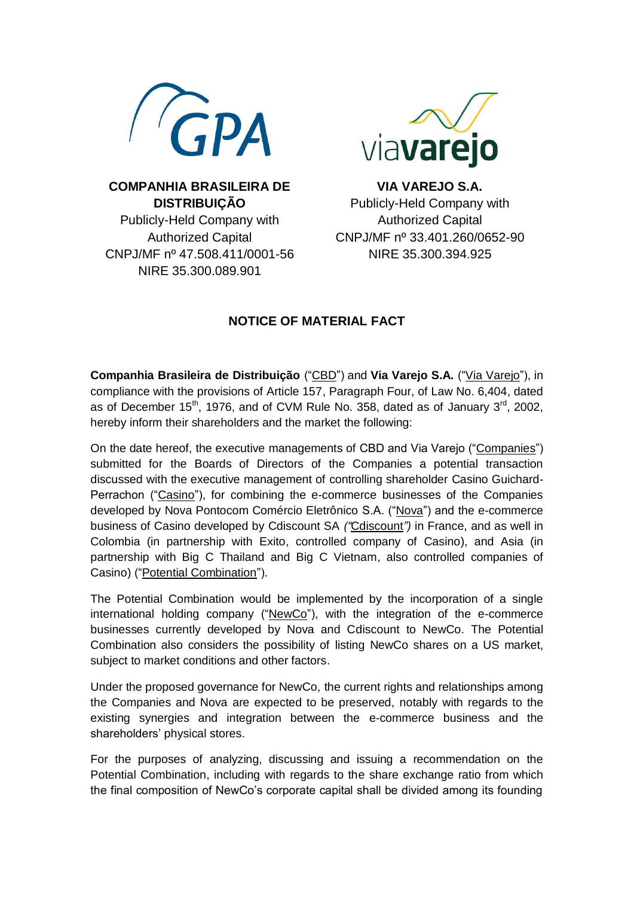



**COMPANHIA BRASILEIRA DE DISTRIBUIÇÃO** Publicly-Held Company with Authorized Capital CNPJ/MF nº 47.508.411/0001-56 NIRE 35.300.089.901

**VIA VAREJO S.A.** Publicly-Held Company with Authorized Capital CNPJ/MF nº 33.401.260/0652-90 NIRE 35.300.394.925

## **NOTICE OF MATERIAL FACT**

**Companhia Brasileira de Distribuição** ("CBD") and **Via Varejo S.A.** ("Via Varejo"), in compliance with the provisions of Article 157, Paragraph Four, of Law No. 6,404, dated as of December  $15<sup>th</sup>$ , 1976, and of CVM Rule No. 358, dated as of January  $3<sup>rd</sup>$ , 2002, hereby inform their shareholders and the market the following:

On the date hereof, the executive managements of CBD and Via Varejo ("Companies") submitted for the Boards of Directors of the Companies a potential transaction discussed with the executive management of controlling shareholder Casino Guichard-Perrachon ("Casino"), for combining the e-commerce businesses of the Companies developed by Nova Pontocom Comércio Eletrônico S.A. ("Nova") and the e-commerce business of Casino developed by Cdiscount SA *("*Cdiscount*")* in France, and as well in Colombia (in partnership with Exito, controlled company of Casino), and Asia (in partnership with Big C Thailand and Big C Vietnam, also controlled companies of Casino) ("Potential Combination").

The Potential Combination would be implemented by the incorporation of a single international holding company ("NewCo"), with the integration of the e-commerce businesses currently developed by Nova and Cdiscount to NewCo. The Potential Combination also considers the possibility of listing NewCo shares on a US market, subject to market conditions and other factors.

Under the proposed governance for NewCo, the current rights and relationships among the Companies and Nova are expected to be preserved, notably with regards to the existing synergies and integration between the e-commerce business and the shareholders' physical stores.

For the purposes of analyzing, discussing and issuing a recommendation on the Potential Combination, including with regards to the share exchange ratio from which the final composition of NewCo's corporate capital shall be divided among its founding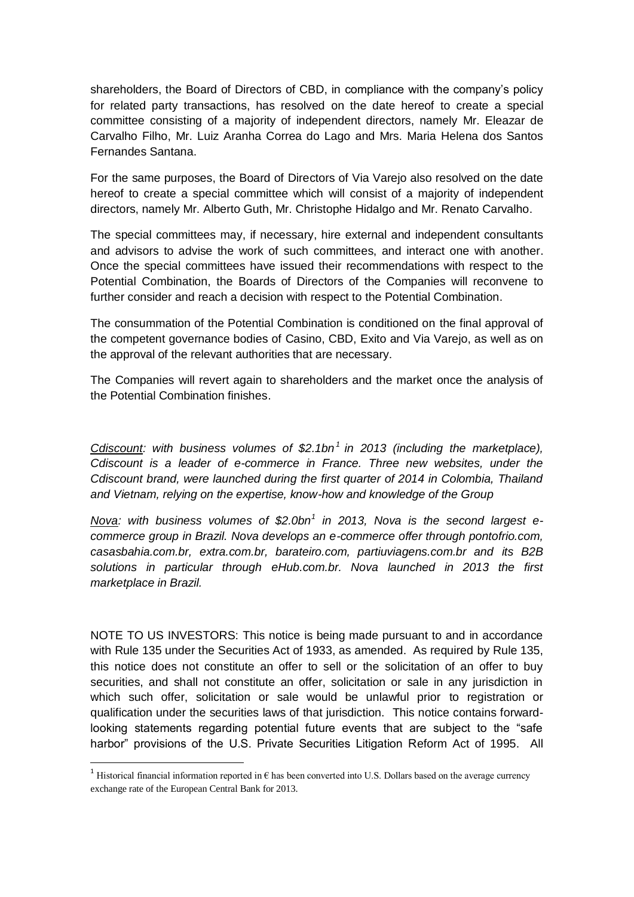shareholders, the Board of Directors of CBD, in compliance with the company's policy for related party transactions, has resolved on the date hereof to create a special committee consisting of a majority of independent directors, namely Mr. Eleazar de Carvalho Filho, Mr. Luiz Aranha Correa do Lago and Mrs. Maria Helena dos Santos Fernandes Santana.

For the same purposes, the Board of Directors of Via Varejo also resolved on the date hereof to create a special committee which will consist of a majority of independent directors, namely Mr. Alberto Guth, Mr. Christophe Hidalgo and Mr. Renato Carvalho.

The special committees may, if necessary, hire external and independent consultants and advisors to advise the work of such committees, and interact one with another. Once the special committees have issued their recommendations with respect to the Potential Combination, the Boards of Directors of the Companies will reconvene to further consider and reach a decision with respect to the Potential Combination.

The consummation of the Potential Combination is conditioned on the final approval of the competent governance bodies of Casino, CBD, Exito and Via Varejo, as well as on the approval of the relevant authorities that are necessary.

The Companies will revert again to shareholders and the market once the analysis of the Potential Combination finishes.

*Cdiscount: with business volumes of \$2.1bn<sup>1</sup> in 2013 (including the marketplace), Cdiscount is a leader of e-commerce in France. Three new websites, under the Cdiscount brand, were launched during the first quarter of 2014 in Colombia, Thailand and Vietnam, relying on the expertise, know-how and knowledge of the Group*

*Nova: with business volumes of \$2.0bn<sup>1</sup> in 2013, Nova is the second largest ecommerce group in Brazil. Nova develops an e-commerce offer through pontofrio.com, casasbahia.com.br, extra.com.br, barateiro.com, partiuviagens.com.br and its B2B solutions in particular through eHub.com.br. Nova launched in 2013 the first marketplace in Brazil.*

NOTE TO US INVESTORS: This notice is being made pursuant to and in accordance with Rule 135 under the Securities Act of 1933, as amended. As required by Rule 135, this notice does not constitute an offer to sell or the solicitation of an offer to buy securities, and shall not constitute an offer, solicitation or sale in any jurisdiction in which such offer, solicitation or sale would be unlawful prior to registration or qualification under the securities laws of that jurisdiction. This notice contains forwardlooking statements regarding potential future events that are subject to the "safe harbor" provisions of the U.S. Private Securities Litigation Reform Act of 1995. All

1

<sup>&</sup>lt;sup>1</sup> Historical financial information reported in  $\epsilon$  has been converted into U.S. Dollars based on the average currency exchange rate of the European Central Bank for 2013.